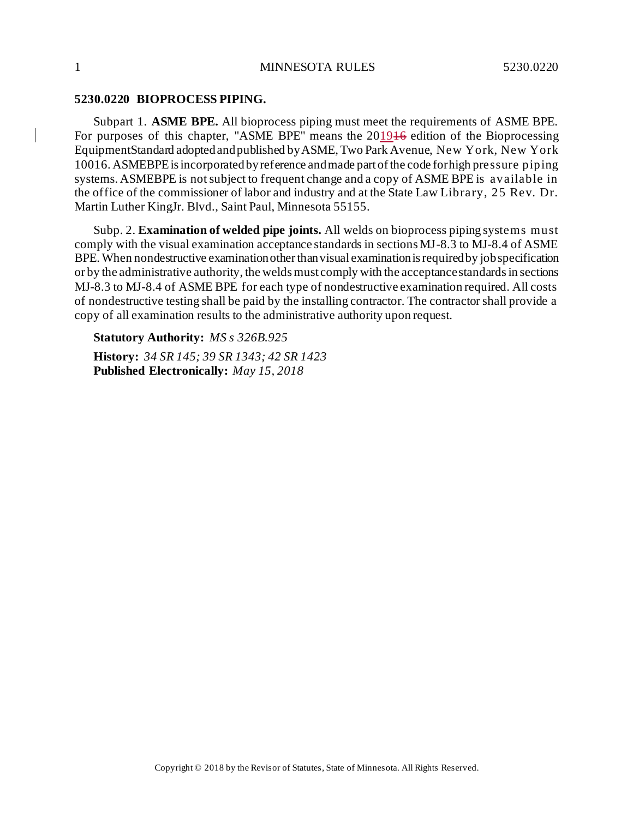## **5230.0220 BIOPROCESS PIPING.**

Subpart 1. **ASME BPE.** All bioprocess piping must meet the requirements of ASME BPE. For purposes of this chapter, "ASME BPE" means the 201946 edition of the Bioprocessing EquipmentStandard adoptedandpublished byASME, Two Park Avenue, New York, New York 10016. ASMEBPEisincorporatedbyreference andmade part ofthe code forhigh pressure piping systems. ASMEBPE is not subject to frequent change and a copy of ASME BPE is available in the office of the commissioner of labor and industry and at the State Law Library, 25 Rev. Dr. Martin Luther KingJr. Blvd., Saint Paul, Minnesota 55155.

Subp. 2. **Examination of welded pipe joints.** All welds on bioprocess piping systems must comply with the visual examination acceptance standards in sections MJ-8.3 to MJ-8.4 of ASME BPE. When nondestructive examination other than visual examination is required by job specification or by the administrative authority, the welds must comply with the acceptance standards in sections MJ-8.3 to MJ-8.4 of ASME BPE for each type of nondestructive examination required. All costs of nondestructive testing shall be paid by the installing contractor. The contractor shall provide a copy of all examination results to the administrative authority upon request.

**Statutory Authority:** *MS s 326B.925* **History:** *34 SR 145; 39 SR 1343; 42 SR 1423* **Published Electronically:** *May 15, 2018*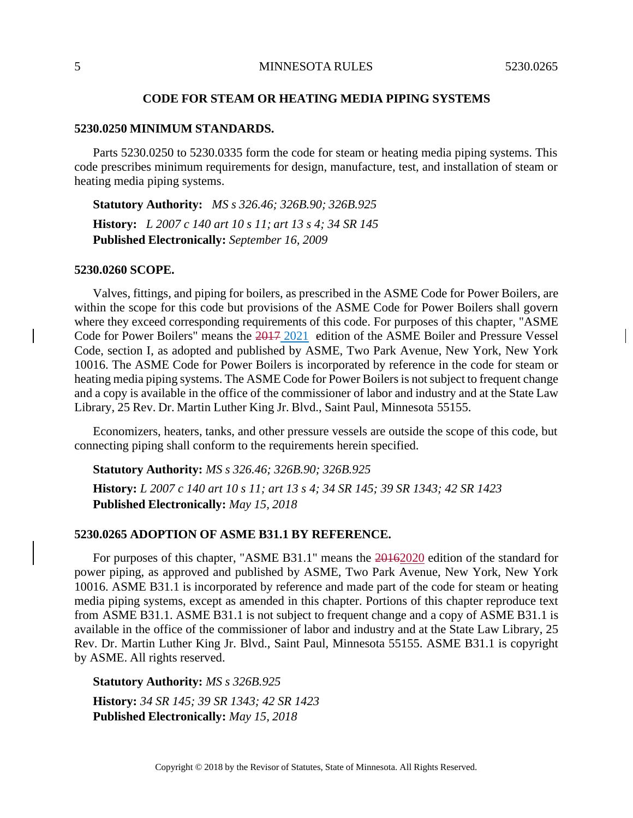## **CODE FOR STEAM OR HEATING MEDIA PIPING SYSTEMS**

### **5230.0250 MINIMUM STANDARDS.**

Parts 5230.0250 to 5230.0335 form the code for steam or heating media piping systems. This code prescribes minimum requirements for design, manufacture, test, and installation of steam or heating media piping systems.

**Statutory Authority:** *MS s 326.46; 326B.90; 326B.925* **History:** *L 2007 c 140 art 10 s 11; art 13 s 4; 34 SR 145* **Published Electronically:** *September 16, 2009*

## **5230.0260 SCOPE.**

Valves, fittings, and piping for boilers, as prescribed in the ASME Code for Power Boilers, are within the scope for this code but provisions of the ASME Code for Power Boilers shall govern where they exceed corresponding requirements of this code. For purposes of this chapter, "ASME Code for Power Boilers" means the 2017 2021 edition of the ASME Boiler and Pressure Vessel Code, section I, as adopted and published by ASME, Two Park Avenue, New York, New York 10016. The ASME Code for Power Boilers is incorporated by reference in the code for steam or heating media piping systems. The ASME Code for Power Boilers is not subject to frequent change and a copy is available in the office of the commissioner of labor and industry and at the State Law Library, 25 Rev. Dr. Martin Luther King Jr. Blvd., Saint Paul, Minnesota 55155.

Economizers, heaters, tanks, and other pressure vessels are outside the scope of this code, but connecting piping shall conform to the requirements herein specified.

**Statutory Authority:** *MS s 326.46; 326B.90; 326B.925*

History: L 2007 c 140 art 10 s 11; art 13 s 4; 34 SR 145; 39 SR 1343; 42 SR 1423 **Published Electronically:** *May 15, 2018*

# **5230.0265 ADOPTION OF ASME B31.1 BY REFERENCE.**

For purposes of this chapter, "ASME B31.1" means the 20162020 edition of the standard for power piping, as approved and published by ASME, Two Park Avenue, New York, New York 10016. ASME B31.1 is incorporated by reference and made part of the code for steam or heating media piping systems, except as amended in this chapter. Portions of this chapter reproduce text from ASME B31.1. ASME B31.1 is not subject to frequent change and a copy of ASME B31.1 is available in the office of the commissioner of labor and industry and at the State Law Library, 25 Rev. Dr. Martin Luther King Jr. Blvd., Saint Paul, Minnesota 55155. ASME B31.1 is copyright by ASME. All rights reserved.

**Statutory Authority:** *MS s 326B.925*

**History:** *34 SR 145; 39 SR 1343; 42 SR 1423* **Published Electronically:** *May 15, 2018*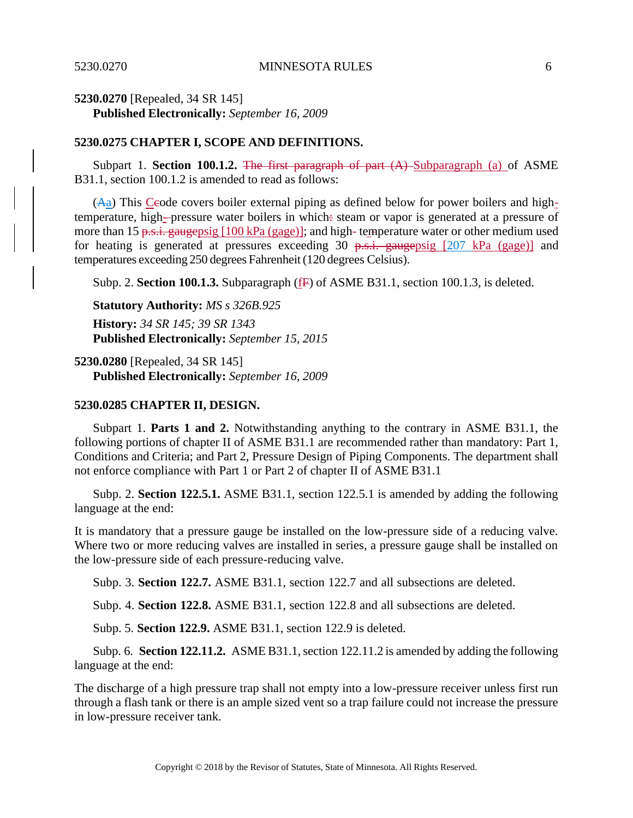# **5230.0270** [Repealed, 34 SR 145] **Published Electronically:** *September 16, 2009*

## **5230.0275 CHAPTER I, SCOPE AND DEFINITIONS.**

Subpart 1. **Section 100.1.2.** The first paragraph of part (A) Subparagraph (a) of ASME B31.1, section 100.1.2 is amended to read as follows:

 $(A<sub>a</sub>)$  This Ceode covers boiler external piping as defined below for power boilers and hightemperature, high--pressure water boilers in which: steam or vapor is generated at a pressure of more than 15 p.s.i. gaugepsig  $[100 \text{ kPa (gage)}]$ ; and high- temperature water or other medium used for heating is generated at pressures exceeding 30  $p.s.i.$  gaugepsig [207 kPa (gage)] and temperatures exceeding 250 degrees Fahrenheit(120 degrees Celsius).

Subp. 2. **Section 100.1.3.** Subparagraph (F) of ASME B31.1, section 100.1.3, is deleted.

## **Statutory Authority:** *MS s 326B.925*

**History:** *34 SR 145; 39 SR 1343* **Published Electronically:** *September 15, 2015*

**5230.0280** [Repealed, 34 SR 145] **Published Electronically:** *September 16, 2009*

## **5230.0285 CHAPTER II, DESIGN.**

Subpart 1. **Parts 1 and 2.** Notwithstanding anything to the contrary in ASME B31.1, the following portions of chapter II of ASME B31.1 are recommended rather than mandatory: Part 1, Conditions and Criteria; and Part 2, Pressure Design of Piping Components. The department shall not enforce compliance with Part 1 or Part 2 of chapter II of ASME B31.1

Subp. 2. **Section 122.5.1.** ASME B31.1, section 122.5.1 is amended by adding the following language at the end:

It is mandatory that a pressure gauge be installed on the low-pressure side of a reducing valve. Where two or more reducing valves are installed in series, a pressure gauge shall be installed on the low-pressure side of each pressure-reducing valve.

Subp. 3. **Section 122.7.** ASME B31.1, section 122.7 and all subsections are deleted.

Subp. 4. **Section 122.8.** ASME B31.1, section 122.8 and all subsections are deleted.

Subp. 5. **Section 122.9.** ASME B31.1, section 122.9 is deleted.

Subp. 6. **Section 122.11.2.** ASME B31.1, section 122.11.2 is amended by adding the following language at the end:

The discharge of a high pressure trap shall not empty into a low-pressure receiver unless first run through a flash tank or there is an ample sized vent so a trap failure could not increase the pressure in low-pressure receiver tank.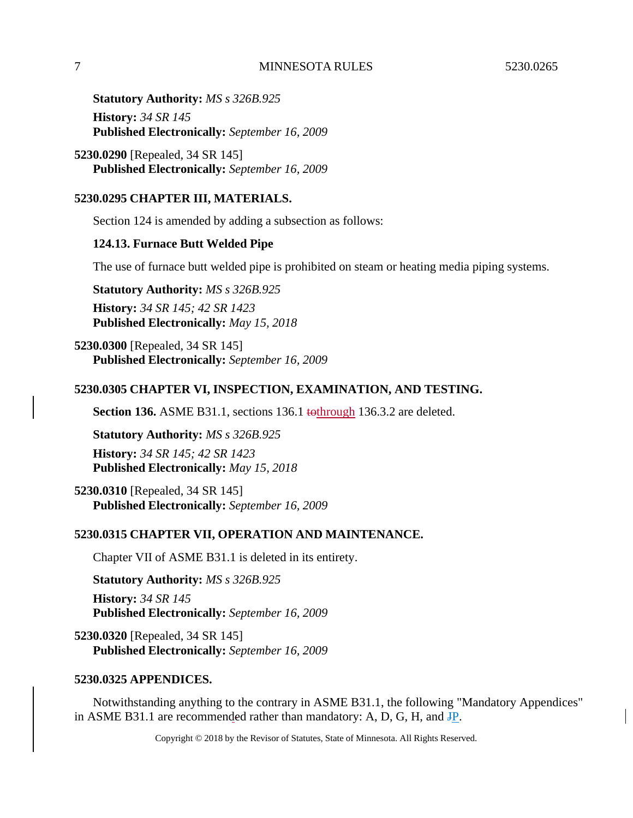**Statutory Authority:** *MS s 326B.925* **History:** *34 SR 145* **Published Electronically:** *September 16, 2009*

**5230.0290** [Repealed, 34 SR 145] **Published Electronically:** *September 16, 2009*

# **5230.0295 CHAPTER III, MATERIALS.**

Section 124 is amended by adding a subsection as follows:

# **124.13. Furnace Butt Welded Pipe**

The use of furnace butt welded pipe is prohibited on steam or heating media piping systems.

**Statutory Authority:** *MS s 326B.925* **History:** *34 SR 145; 42 SR 1423* **Published Electronically:** *May 15, 2018*

**5230.0300** [Repealed, 34 SR 145] **Published Electronically:** *September 16, 2009*

# **5230.0305 CHAPTER VI, INSPECTION, EXAMINATION, AND TESTING.**

**Section 136.** ASME B31.1, sections 136.1 tothrough 136.3.2 are deleted.

**Statutory Authority:** *MS s 326B.925* **History:** *34 SR 145; 42 SR 1423* **Published Electronically:** *May 15, 2018*

**5230.0310** [Repealed, 34 SR 145] **Published Electronically:** *September 16, 2009*

# **5230.0315 CHAPTER VII, OPERATION AND MAINTENANCE.**

Chapter VII of ASME B31.1 is deleted in its entirety.

**Statutory Authority:** *MS s 326B.925* **History:** *34 SR 145* **Published Electronically:** *September 16, 2009*

**5230.0320** [Repealed, 34 SR 145] **Published Electronically:** *September 16, 2009*

# **5230.0325 APPENDICES.**

Notwithstanding anything to the contrary in ASME B31.1, the following "Mandatory Appendices" in ASME B31.1 are recommended rather than mandatory: A, D, G, H, and JP.

Copyright © 2018 by the Revisor of Statutes, State of Minnesota. All Rights Reserved.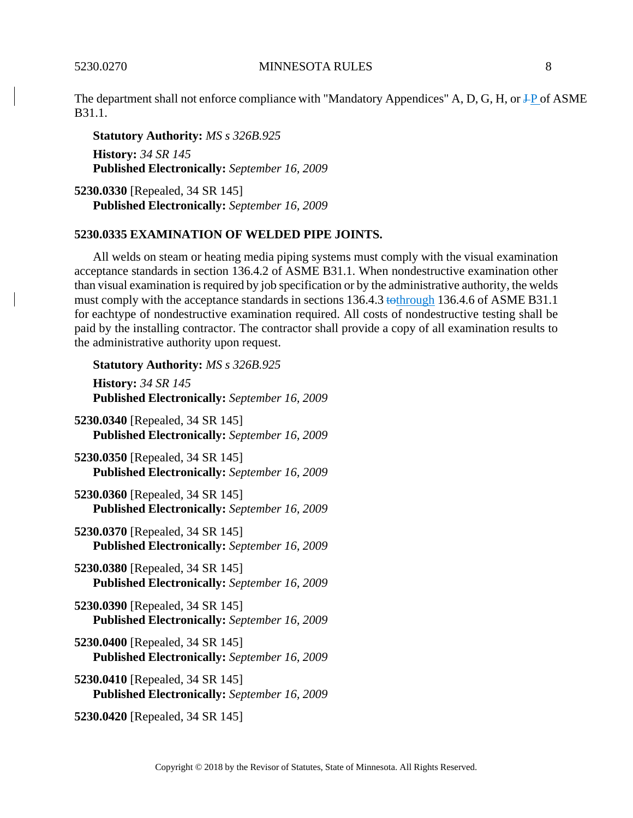The department shall not enforce compliance with "Mandatory Appendices" A, D, G, H, or  $\text{+P}$  of ASME B31.1.

**Statutory Authority:** *MS s 326B.925* **History:** *34 SR 145* **Published Electronically:** *September 16, 2009*

**5230.0330** [Repealed, 34 SR 145] **Published Electronically:** *September 16, 2009*

## **5230.0335 EXAMINATION OF WELDED PIPE JOINTS.**

All welds on steam or heating media piping systems must comply with the visual examination acceptance standards in section 136.4.2 of ASME B31.1. When nondestructive examination other than visual examination isrequired by job specification or by the administrative authority, the welds must comply with the acceptance standards in sections 136.4.3 tothrough 136.4.6 of ASME B31.1 for eachtype of nondestructive examination required. All costs of nondestructive testing shall be paid by the installing contractor. The contractor shall provide a copy of all examination results to the administrative authority upon request.

**Statutory Authority:** *MS s 326B.925* **History:** *34 SR 145* **Published Electronically:** *September 16, 2009* **5230.0340** [Repealed, 34 SR 145] **Published Electronically:** *September 16, 2009* **5230.0350** [Repealed, 34 SR 145] **Published Electronically:** *September 16, 2009* **5230.0360** [Repealed, 34 SR 145] **Published Electronically:** *September 16, 2009* **5230.0370** [Repealed, 34 SR 145] **Published Electronically:** *September 16, 2009* **5230.0380** [Repealed, 34 SR 145] **Published Electronically:** *September 16, 2009* **5230.0390** [Repealed, 34 SR 145] **Published Electronically:** *September 16, 2009* **5230.0400** [Repealed, 34 SR 145] **Published Electronically:** *September 16, 2009* **5230.0410** [Repealed, 34 SR 145] **Published Electronically:** *September 16, 2009* **5230.0420** [Repealed, 34 SR 145]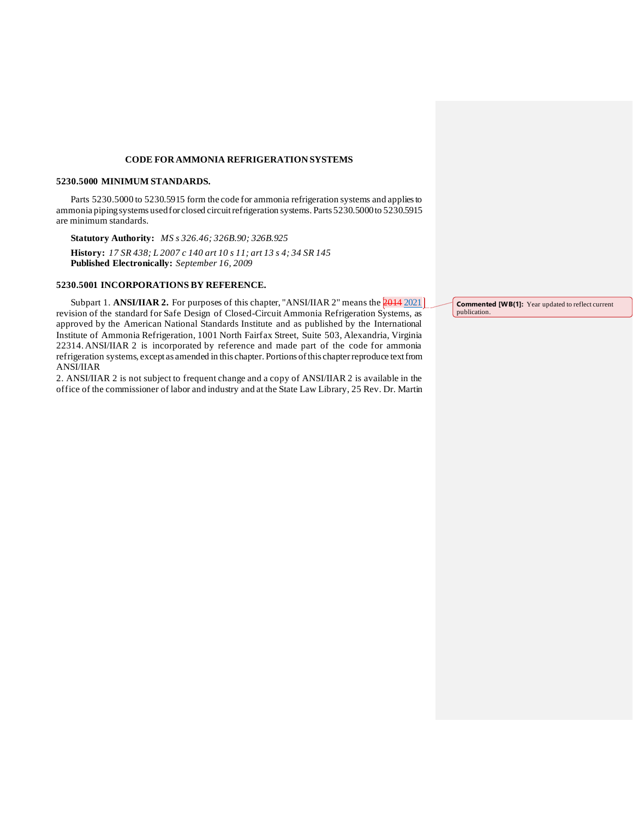### **CODE FORAMMONIA REFRIGERATION SYSTEMS**

### **5230.5000 MINIMUM STANDARDS.**

Parts 5230.5000 to 5230.5915 form the code for ammonia refrigeration systems and appliesto ammonia pipingsystems usedfor closed circuitrefrigeration systems. Parts 5230.5000to 5230.5915 are minimum standards.

**Statutory Authority:** *MS s 326.46; 326B.90; 326B.925* **History:** *17 SR 438; L 2007 c 140 art 10 s 11; art 13 s 4; 34 SR 145* **Published Electronically:** *September 16, 2009*

### **5230.5001 INCORPORATIONS BY REFERENCE.**

Subpart 1. **ANSI/IIAR 2.** For purposes of this chapter, "ANSI/IIAR 2" means the **2014** 2021 revision of the standard for Safe Design of Closed-Circuit Ammonia Refrigeration Systems, as approved by the American National Standards Institute and as published by the International Institute of Ammonia Refrigeration, 1001 North Fairfax Street, Suite 503, Alexandria, Virginia 22314.ANSI/IIAR 2 is incorporated by reference and made part of the code for ammonia refrigeration systems, except as amended in this chapter. Portions ofthis chapterreproduce textfrom ANSI/IIAR

2. ANSI/IIAR 2 is not subject to frequent change and a copy of ANSI/IIAR 2 is available in the office of the commissioner of labor and industry and at the State Law Library, 25 Rev. Dr. Martin

**Commented [WB(1]:** Year updated to reflect current publication.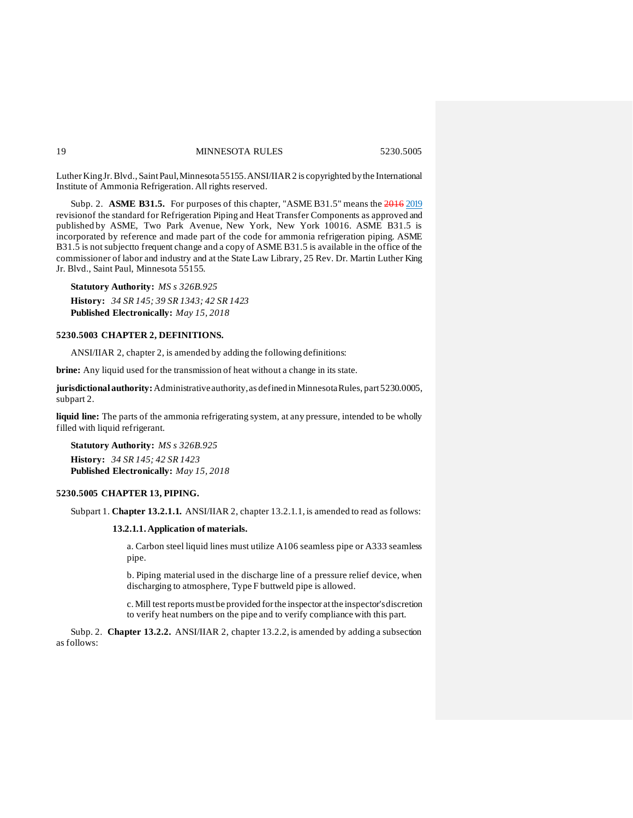Luther King Jr. Blvd., Saint Paul, Minnesota 55155. ANSI/IIAR 2 is copyrighted by the International Institute of Ammonia Refrigeration. All rights reserved.

Subp. 2. **ASME B31.5.** For purposes of this chapter, "ASME B31.5" means the 2016 2019 revisionof the standard for Refrigeration Piping and Heat Transfer Components as approved and published by ASME, Two Park Avenue, New York, New York 10016. ASME B31.5 is incorporated by reference and made part of the code for ammonia refrigeration piping. ASME B31.5 is not subject to frequent change and a copy of ASME B31.5 is available in the office of the commissioner of labor and industry and at the State Law Library, 25 Rev. Dr. Martin Luther King Jr. Blvd., Saint Paul, Minnesota 55155.

**Statutory Authority:** *MS s 326B.925* **History:** *34 SR 145; 39 SR 1343; 42 SR 1423* **Published Electronically:** *May 15, 2018*

#### **5230.5003 CHAPTER 2, DEFINITIONS.**

ANSI/IIAR 2, chapter 2, is amended by adding the following definitions:

**brine:** Any liquid used for the transmission of heat without a change in its state.

**jurisdictionalauthority:**Administrativeauthority,as definedin MinnesotaRules, part5230.0005, subpart 2.

**liquid line:** The parts of the ammonia refrigerating system, at any pressure, intended to be wholly filled with liquid refrigerant.

**Statutory Authority:** *MS s 326B.925* **History:** *34 SR 145; 42 SR 1423* **Published Electronically:** *May 15, 2018*

### **5230.5005 CHAPTER 13, PIPING.**

Subpart 1. **Chapter 13.2.1.1.** ANSI/IIAR 2, chapter 13.2.1.1, is amended to read as follows:

### **13.2.1.1. Application of materials.**

a. Carbon steel liquid lines must utilize A106 seamless pipe or A333 seamless pipe.

b. Piping material used in the discharge line of a pressure relief device, when discharging to atmosphere, Type F buttweld pipe is allowed.

c. Mill test reportsmustbe provided forthe inspector atthe inspector'sdiscretion to verify heat numbers on the pipe and to verify compliance with this part.

Subp. 2. **Chapter 13.2.2.** ANSI/IIAR 2, chapter 13.2.2, is amended by adding a subsection as follows: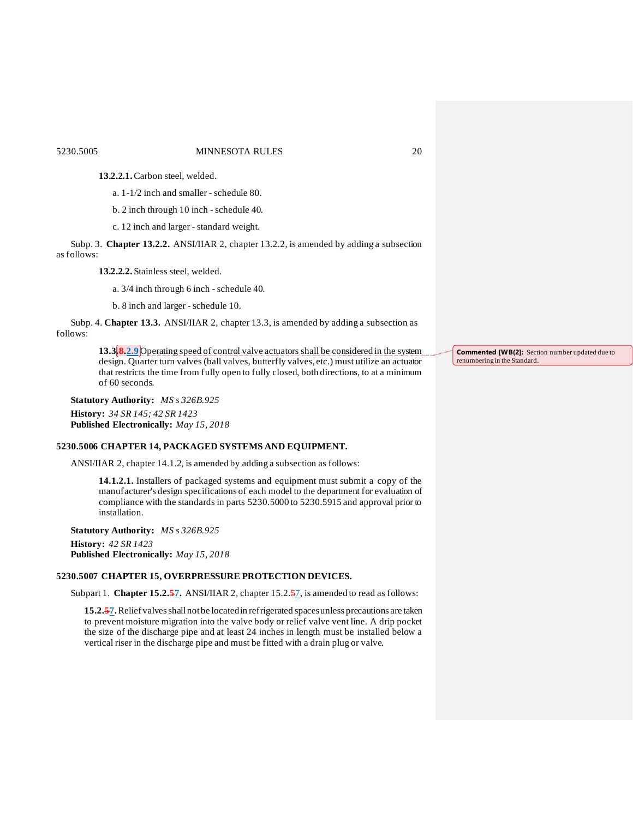### 5230.5005 MINNESOTA RULES 20

**13.2.2.1.**Carbon steel, welded.

a. 1-1/2 inch and smaller - schedule 80.

b. 2 inch through 10 inch - schedule 40.

c. 12 inch and larger - standard weight.

Subp. 3. **Chapter 13.2.2.** ANSI/IIAR 2, chapter 13.2.2, is amended by adding a subsection as follows:

**13.2.2.2.** Stainless steel, welded.

a. 3/4 inch through 6 inch - schedule 40.

b. 8 inch and larger - schedule 10.

Subp. 4. **Chapter 13.3.** ANSI/IIAR 2, chapter 13.3, is amended by adding a subsection as follows:

> **13.3.8.2.9** Operating speed of control valve actuators shall be considered in the system design. Quarter turn valves (ball valves, butterfly valves, etc.) must utilize an actuator that restricts the time from fully open to fully closed, both directions, to at a minimum of 60 seconds.

**Statutory Authority:** *MS s 326B.925* **History:** *34 SR 145; 42 SR 1423* **Published Electronically:** *May 15, 2018*

#### **5230.5006 CHAPTER 14, PACKAGED SYSTEMS AND EQUIPMENT.**

ANSI/IIAR 2, chapter 14.1.2, is amended by adding a subsection as follows:

**14.1.2.1.** Installers of packaged systems and equipment must submit a copy of the manufacturer's design specifications of each model to the department for evaluation of compliance with the standards in parts 5230.5000 to 5230.5915 and approval prior to installation.

**Statutory Authority:** *MS s 326B.925* **History:** *42 SR 1423* **Published Electronically:** *May 15, 2018*

## **5230.5007 CHAPTER 15, OVERPRESSURE PROTECTION DEVICES.**

Subpart 1. **Chapter 15.2.57.** ANSI/IIAR 2, chapter 15.2.57, is amended to read as follows:

15.2.57. Relief valves shall not be located in refrigerated spaces unless precautions are taken to prevent moisture migration into the valve body or relief valve vent line. A drip pocket the size of the discharge pipe and at least 24 inches in length must be installed below a vertical riser in the discharge pipe and must be fitted with a drain plug or valve.

**Commented [WB(2]:** Section number updated due to renumbering in the Standard.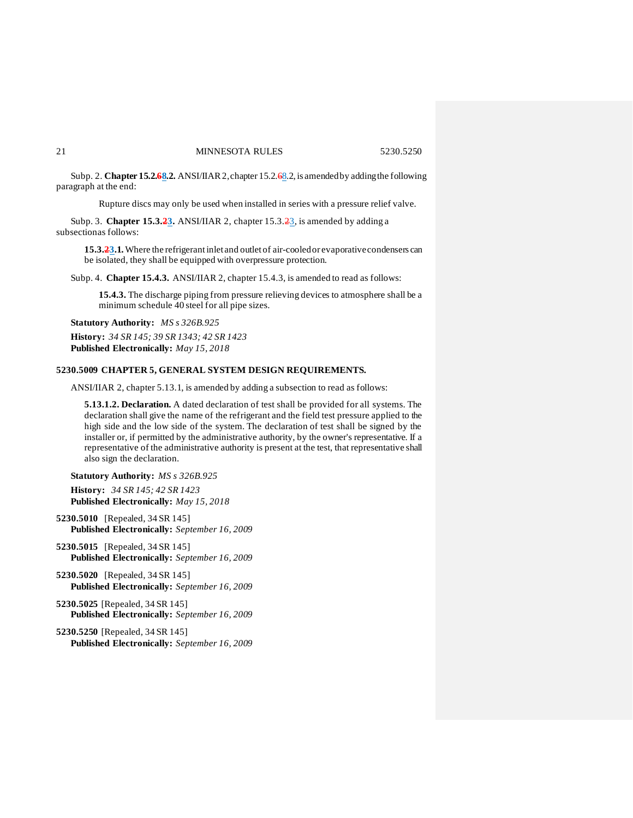Subp. 2. **Chapter 15.2.68.2.** ANSI/IIAR 2, chapter 15.2.68.2, is amended by adding the following paragraph at the end:

Rupture discs may only be used when installed in series with a pressure relief valve.

Subp. 3. **Chapter 15.3.23.** ANSI/IIAR 2, chapter 15.3.23, is amended by adding a subsectionas follows:

**15.3.23.1.**Where the refrigerantinlet and outlet of air-cooledor evaporativecondensers can be isolated, they shall be equipped with overpressure protection.

Subp. 4. **Chapter 15.4.3.** ANSI/IIAR 2, chapter 15.4.3, is amended to read as follows:

**15.4.3.** The discharge piping from pressure relieving devices to atmosphere shall be a minimum schedule 40 steel for all pipe sizes.

**Statutory Authority:** *MS s 326B.925* **History:** *34 SR 145; 39 SR 1343; 42 SR 1423* **Published Electronically:** *May 15, 2018*

#### **5230.5009 CHAPTER 5, GENERAL SYSTEM DESIGN REQUIREMENTS.**

ANSI/IIAR 2, chapter 5.13.1, is amended by adding a subsection to read as follows:

**5.13.1.2. Declaration.** A dated declaration of test shall be provided for all systems. The declaration shall give the name of the refrigerant and the field test pressure applied to the high side and the low side of the system. The declaration of test shall be signed by the installer or, if permitted by the administrative authority, by the owner's representative. If a representative of the administrative authority is present at the test, that representative shall also sign the declaration.

**Statutory Authority:** *MS s 326B.925*

**History:** *34 SR 145; 42 SR 1423* **Published Electronically:** *May 15, 2018*

**5230.5010** [Repealed, 34 SR 145] **Published Electronically:** *September 16, 2009*

- **5230.5015** [Repealed, 34 SR 145] **Published Electronically:** *September 16, 2009*
- **5230.5020** [Repealed, 34 SR 145] **Published Electronically:** *September 16, 2009*
- **5230.5025** [Repealed, 34 SR 145] **Published Electronically:** *September 16, 2009*
- **5230.5250** [Repealed, 34 SR 145] **Published Electronically:** *September 16, 2009*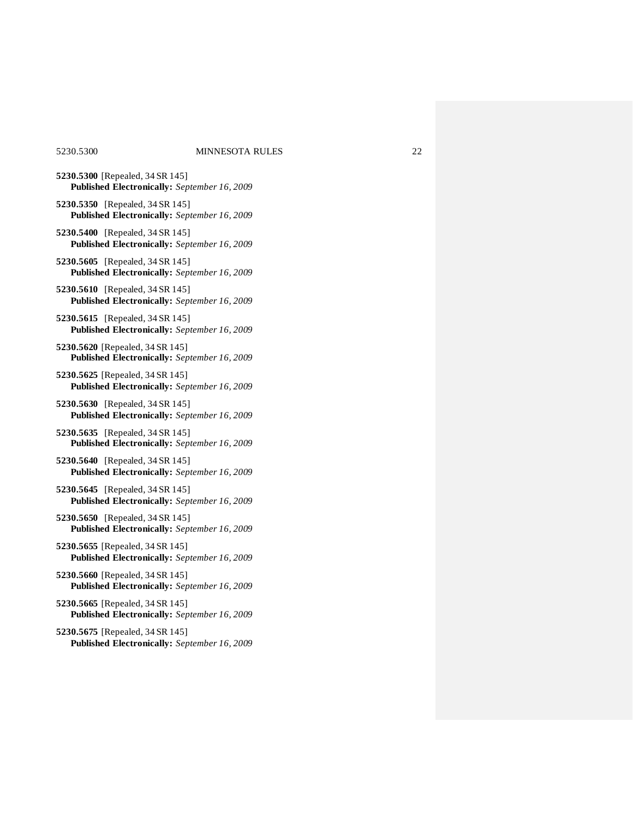- **5230.5300** [Repealed, 34 SR 145] **Published Electronically:** *September 16, 2009*
- **5230.5350** [Repealed, 34 SR 145] **Published Electronically:** *September 16, 2009*
- **5230.5400** [Repealed, 34 SR 145] **Published Electronically:** *September 16, 2009*
- **5230.5605** [Repealed, 34 SR 145] **Published Electronically:** *September 16, 2009*
- **5230.5610** [Repealed, 34 SR 145] **Published Electronically:** *September 16, 2009*
- **5230.5615** [Repealed, 34 SR 145] **Published Electronically:** *September 16, 2009*
- **5230.5620** [Repealed, 34 SR 145] **Published Electronically:** *September 16, 2009*
- **5230.5625** [Repealed, 34 SR 145] **Published Electronically:** *September 16, 2009*
- **5230.5630** [Repealed, 34 SR 145] **Published Electronically:** *September 16, 2009*
- **5230.5635** [Repealed, 34 SR 145] **Published Electronically:** *September 16, 2009*
- **5230.5640** [Repealed, 34 SR 145] **Published Electronically:** *September 16, 2009*
- **5230.5645** [Repealed, 34 SR 145] **Published Electronically:** *September 16, 2009*
- **5230.5650** [Repealed, 34 SR 145] **Published Electronically:** *September 16, 2009*
- **5230.5655** [Repealed, 34 SR 145] **Published Electronically:** *September 16, 2009*
- **5230.5660** [Repealed, 34 SR 145] **Published Electronically:** *September 16, 2009*
- **5230.5665** [Repealed, 34 SR 145] **Published Electronically:** *September 16, 2009*
- **5230.5675** [Repealed, 34 SR 145] **Published Electronically:** *September 16, 2009*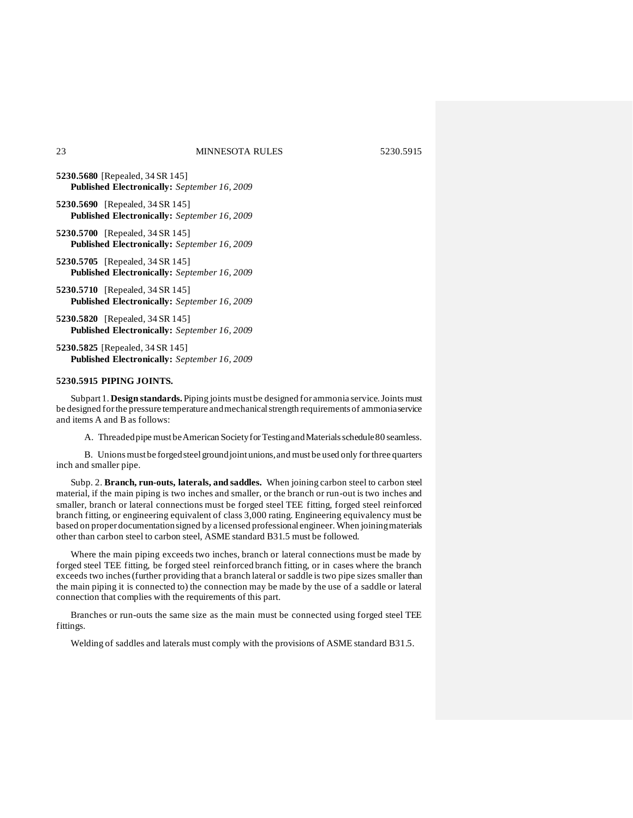- **5230.5680** [Repealed, 34 SR 145] **Published Electronically:** *September 16, 2009*
- **5230.5690** [Repealed, 34 SR 145] **Published Electronically:** *September 16, 2009*
- **5230.5700** [Repealed, 34 SR 145] **Published Electronically:** *September 16, 2009*
- **5230.5705** [Repealed, 34 SR 145] **Published Electronically:** *September 16, 2009*
- **5230.5710** [Repealed, 34 SR 145] **Published Electronically:** *September 16, 2009*
- **5230.5820** [Repealed, 34 SR 145] **Published Electronically:** *September 16, 2009*
- **5230.5825** [Repealed, 34 SR 145] **Published Electronically:** *September 16, 2009*

#### **5230.5915 PIPING JOINTS.**

Subpart 1. **Design standards.** Piping joints must be designed for ammonia service. Joints must be designed for the pressure temperature and mechanical strength requirements of ammoniaservice and items A and B as follows:

A. Threaded pipe must be American Society for Testing and Materials schedule 80 seamless.

B. Unionsmust be forgedsteel groundjointunions,and mustbe used only forthree quarters inch and smaller pipe.

Subp. 2. **Branch, run-outs, laterals, and saddles.** When joining carbon steel to carbon steel material, if the main piping is two inches and smaller, or the branch or run-out is two inches and smaller, branch or lateral connections must be forged steel TEE fitting, forged steel reinforced branch fitting, or engineering equivalent of class 3,000 rating. Engineering equivalency must be based on proper documentationsigned by a licensed professional engineer. When joiningmaterials other than carbon steel to carbon steel, ASME standard B31.5 must be followed.

Where the main piping exceeds two inches, branch or lateral connections must be made by forged steel TEE fitting, be forged steel reinforced branch fitting, or in cases where the branch exceeds two inches(further providing that a branch lateral or saddle is two pipe sizes smaller than the main piping it is connected to) the connection may be made by the use of a saddle or lateral connection that complies with the requirements of this part.

Branches or run-outs the same size as the main must be connected using forged steel TEE fittings.

Welding of saddles and laterals must comply with the provisions of ASME standard B31.5.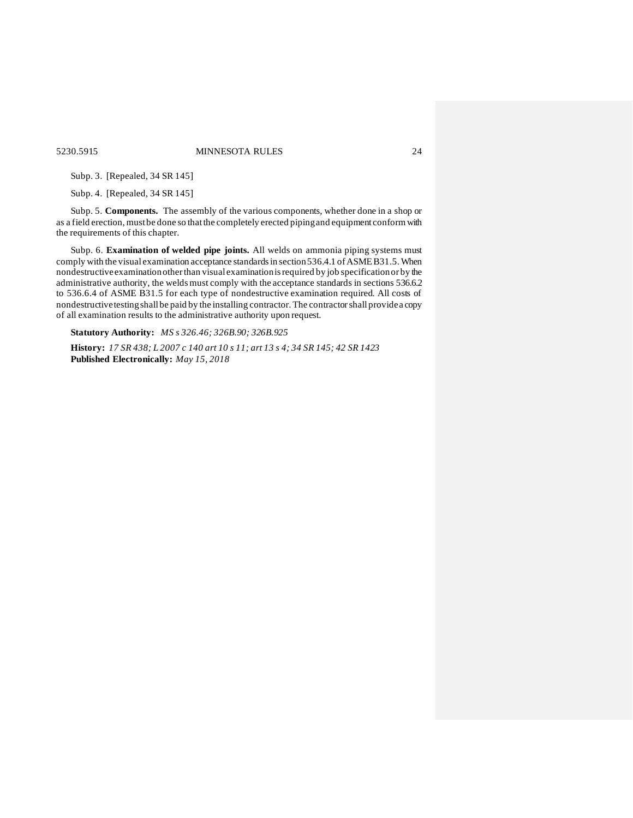5230.5915 MINNESOTA RULES 24

Subp. 3. [Repealed, 34 SR 145]

Subp. 4. [Repealed, 34 SR 145]

Subp. 5. **Components.** The assembly of the various components, whether done in a shop or as a field erection, must be done so that the completely erected piping and equipment conform with the requirements of this chapter.

Subp. 6. **Examination of welded pipe joints.** All welds on ammonia piping systems must comply with the visual examination acceptance standards in section 536.4.1 of ASMEB31.5. When nondestructiveexaminationotherthan visual examinationisrequired by job specificationor by the administrative authority, the welds must comply with the acceptance standards in sections 536.6.2 to 536.6.4 of ASME B31.5 for each type of nondestructive examination required. All costs of nondestructivetestingshall be paid by the installing contractor. The contractorshall providea copy of all examination results to the administrative authority upon request.

**Statutory Authority:** *MS s 326.46; 326B.90; 326B.925*

History: 17 SR 438; L 2007 c 140 art 10 s 11; art 13 s 4; 34 SR 145; 42 SR 1423 **Published Electronically:** *May 15, 2018*